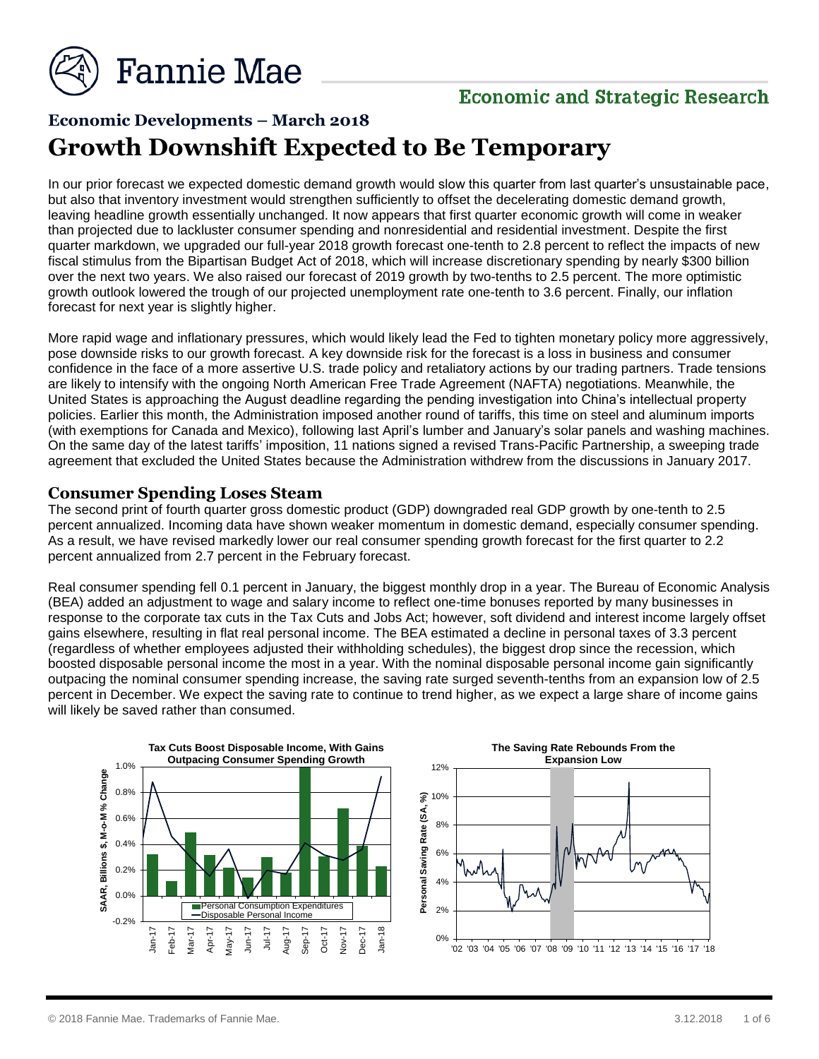

### **Economic and Strategic Research**

## **Economic Developments – March 2018 Growth Downshift Expected to Be Temporary**

In our prior forecast we expected domestic demand growth would slow this quarter from last quarter's unsustainable pace, but also that inventory investment would strengthen sufficiently to offset the decelerating domestic demand growth, leaving headline growth essentially unchanged. It now appears that first quarter economic growth will come in weaker than projected due to lackluster consumer spending and nonresidential and residential investment. Despite the first quarter markdown, we upgraded our full-year 2018 growth forecast one-tenth to 2.8 percent to reflect the impacts of new fiscal stimulus from the Bipartisan Budget Act of 2018, which will increase discretionary spending by nearly \$300 billion over the next two years. We also raised our forecast of 2019 growth by two-tenths to 2.5 percent. The more optimistic growth outlook lowered the trough of our projected unemployment rate one-tenth to 3.6 percent. Finally, our inflation forecast for next year is slightly higher.

More rapid wage and inflationary pressures, which would likely lead the Fed to tighten monetary policy more aggressively, pose downside risks to our growth forecast. A key downside risk for the forecast is a loss in business and consumer confidence in the face of a more assertive U.S. trade policy and retaliatory actions by our trading partners. Trade tensions are likely to intensify with the ongoing North American Free Trade Agreement (NAFTA) negotiations. Meanwhile, the United States is approaching the August deadline regarding the pending investigation into China's intellectual property policies. Earlier this month, the Administration imposed another round of tariffs, this time on steel and aluminum imports (with exemptions for Canada and Mexico), following last April's lumber and January's solar panels and washing machines. On the same day of the latest tariffs' imposition, 11 nations signed a revised Trans-Pacific Partnership, a sweeping trade agreement that excluded the United States because the Administration withdrew from the discussions in January 2017.

#### **Consumer Spending Loses Steam**

The second print of fourth quarter gross domestic product (GDP) downgraded real GDP growth by one-tenth to 2.5 percent annualized. Incoming data have shown weaker momentum in domestic demand, especially consumer spending. As a result, we have revised markedly lower our real consumer spending growth forecast for the first quarter to 2.2 percent annualized from 2.7 percent in the February forecast.

Real consumer spending fell 0.1 percent in January, the biggest monthly drop in a year. The Bureau of Economic Analysis (BEA) added an adjustment to wage and salary income to reflect one-time bonuses reported by many businesses in response to the corporate tax cuts in the Tax Cuts and Jobs Act; however, soft dividend and interest income largely offset gains elsewhere, resulting in flat real personal income. The BEA estimated a decline in personal taxes of 3.3 percent (regardless of whether employees adjusted their withholding schedules), the biggest drop since the recession, which boosted disposable personal income the most in a year. With the nominal disposable personal income gain significantly outpacing the nominal consumer spending increase, the saving rate surged seventh-tenths from an expansion low of 2.5 percent in December. We expect the saving rate to continue to trend higher, as we expect a large share of income gains will likely be saved rather than consumed.

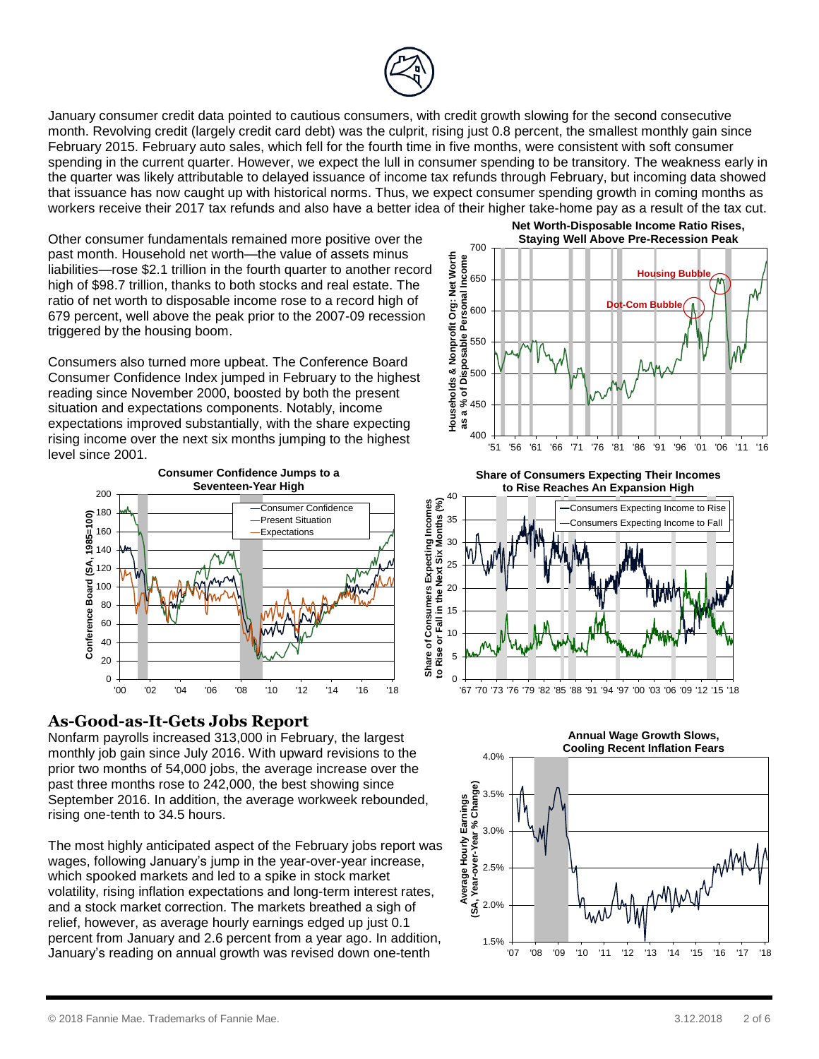

January consumer credit data pointed to cautious consumers, with credit growth slowing for the second consecutive month. Revolving credit (largely credit card debt) was the culprit, rising just 0.8 percent, the smallest monthly gain since February 2015. February auto sales, which fell for the fourth time in five months, were consistent with soft consumer spending in the current quarter. However, we expect the lull in consumer spending to be transitory. The weakness early in the quarter was likely attributable to delayed issuance of income tax refunds through February, but incoming data showed that issuance has now caught up with historical norms. Thus, we expect consumer spending growth in coming months as workers receive their 2017 tax refunds and also have a better idea of their higher take-home pay as a result of the tax cut.

Other consumer fundamentals remained more positive over the past month. Household net worth—the value of assets minus liabilities—rose \$2.1 trillion in the fourth quarter to another record high of \$98.7 trillion, thanks to both stocks and real estate. The ratio of net worth to disposable income rose to a record high of 679 percent, well above the peak prior to the 2007-09 recession triggered by the housing boom.

Consumers also turned more upbeat. The Conference Board Consumer Confidence Index jumped in February to the highest reading since November 2000, boosted by both the present situation and expectations components. Notably, income expectations improved substantially, with the share expecting rising income over the next six months jumping to the highest level since 2001.



#### **As-Good-as-It-Gets Jobs Report**

Nonfarm payrolls increased 313,000 in February, the largest monthly job gain since July 2016. With upward revisions to the prior two months of 54,000 jobs, the average increase over the past three months rose to 242,000, the best showing since September 2016. In addition, the average workweek rebounded, rising one-tenth to 34.5 hours.

The most highly anticipated aspect of the February jobs report was wages, following January's jump in the year-over-year increase, which spooked markets and led to a spike in stock market volatility, rising inflation expectations and long-term interest rates, and a stock market correction. The markets breathed a sigh of relief, however, as average hourly earnings edged up just 0.1 percent from January and 2.6 percent from a year ago. In addition, January's reading on annual growth was revised down one-tenth

**Net Worth-Disposable Income Ratio Rises, Staying Well Above Pre-Recession Peak**



**Share of Consumers Expecting Their Incomes to Rise Reaches An Expansion High**





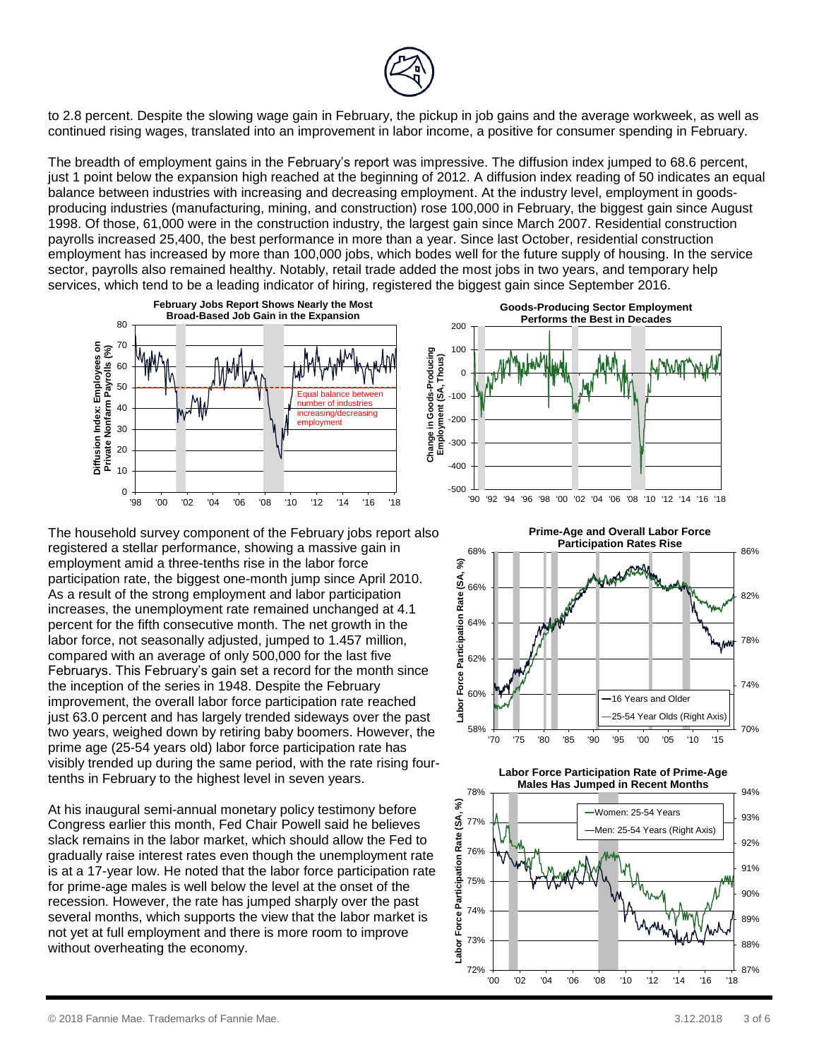

to 2.8 percent. Despite the slowing wage gain in February, the pickup in job gains and the average workweek, as well as continued rising wages, translated into an improvement in labor income, a positive for consumer spending in February.

The breadth of employment gains in the February's report was impressive. The diffusion index jumped to 68.6 percent, just 1 point below the expansion high reached at the beginning of 2012. A diffusion index reading of 50 indicates an equal balance between industries with increasing and decreasing employment. At the industry level, employment in goodsproducing industries (manufacturing, mining, and construction) rose 100,000 in February, the biggest gain since August 1998. Of those, 61,000 were in the construction industry, the largest gain since March 2007. Residential construction payrolls increased 25,400, the best performance in more than a year. Since last October, residential construction employment has increased by more than 100,000 jobs, which bodes well for the future supply of housing. In the service sector, payrolls also remained healthy. Notably, retail trade added the most jobs in two years, and temporary help services, which tend to be a leading indicator of hiring, registered the biggest gain since September 2016.



The household survey component of the February jobs report also registered a stellar performance, showing a massive gain in employment amid a three-tenths rise in the labor force participation rate, the biggest one-month jump since April 2010. As a result of the strong employment and labor participation increases, the unemployment rate remained unchanged at 4.1 percent for the fifth consecutive month. The net growth in the labor force, not seasonally adjusted, jumped to 1.457 million, compared with an average of only 500,000 for the last five Februarys. This February's gain set a record for the month since the inception of the series in 1948. Despite the February improvement, the overall labor force participation rate reached just 63.0 percent and has largely trended sideways over the past two years, weighed down by retiring baby boomers. However, the prime age (25-54 years old) labor force participation rate has visibly trended up during the same period, with the rate rising fourtenths in February to the highest level in seven years.

At his inaugural semi-annual monetary policy testimony before Congress earlier this month, Fed Chair Powell said he believes slack remains in the labor market, which should allow the Fed to gradually raise interest rates even though the unemployment rate is at a 17-year low. He noted that the labor force participation rate for prime-age males is well below the level at the onset of the recession. However, the rate has jumped sharply over the past several months, which supports the view that the labor market is not yet at full employment and there is more room to improve without overheating the economy.





**Labor Force Participation Rate of Prime-Age Males Has Jumped in Recent Months**

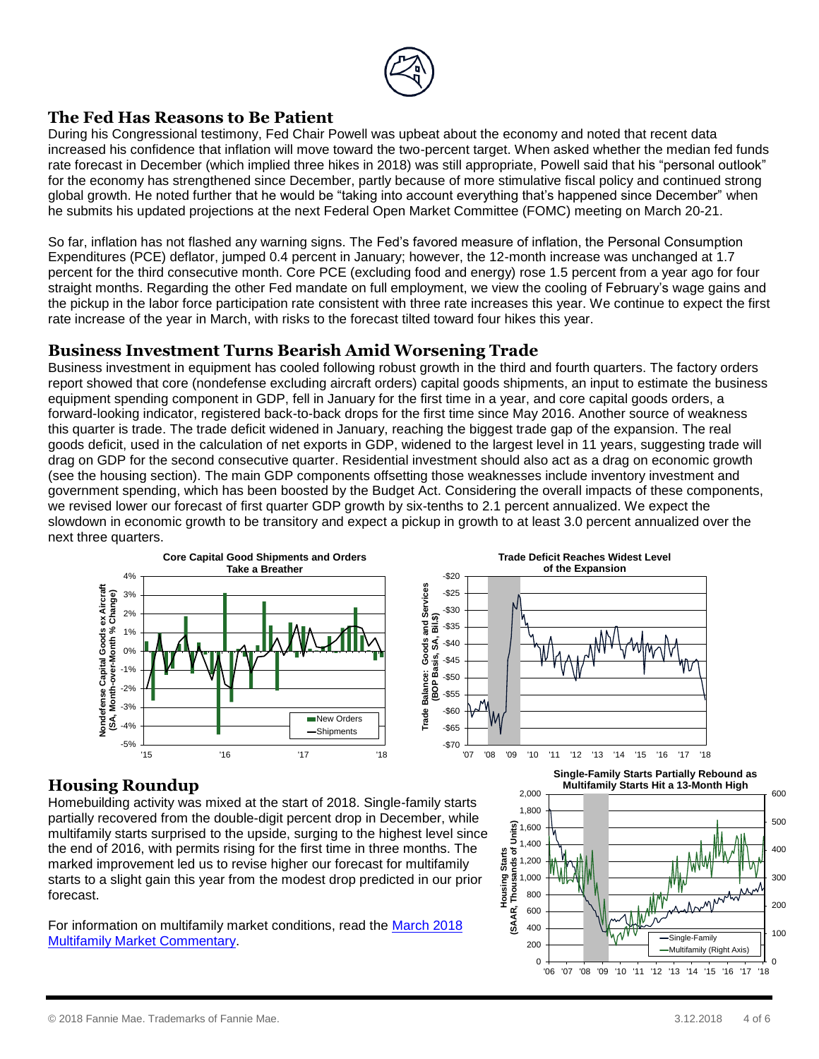

#### **The Fed Has Reasons to Be Patient**

During his Congressional testimony, Fed Chair Powell was upbeat about the economy and noted that recent data increased his confidence that inflation will move toward the two-percent target. When asked whether the median fed funds rate forecast in December (which implied three hikes in 2018) was still appropriate, Powell said that his "personal outlook" for the economy has strengthened since December, partly because of more stimulative fiscal policy and continued strong global growth. He noted further that he would be "taking into account everything that's happened since December" when he submits his updated projections at the next Federal Open Market Committee (FOMC) meeting on March 20-21.

So far, inflation has not flashed any warning signs. The Fed's favored measure of inflation, the Personal Consumption Expenditures (PCE) deflator, jumped 0.4 percent in January; however, the 12-month increase was unchanged at 1.7 percent for the third consecutive month. Core PCE (excluding food and energy) rose 1.5 percent from a year ago for four straight months. Regarding the other Fed mandate on full employment, we view the cooling of February's wage gains and the pickup in the labor force participation rate consistent with three rate increases this year. We continue to expect the first rate increase of the year in March, with risks to the forecast tilted toward four hikes this year.

#### **Business Investment Turns Bearish Amid Worsening Trade**

Business investment in equipment has cooled following robust growth in the third and fourth quarters. The factory orders report showed that core (nondefense excluding aircraft orders) capital goods shipments, an input to estimate the business equipment spending component in GDP, fell in January for the first time in a year, and core capital goods orders, a forward-looking indicator, registered back-to-back drops for the first time since May 2016. Another source of weakness this quarter is trade. The trade deficit widened in January, reaching the biggest trade gap of the expansion. The real goods deficit, used in the calculation of net exports in GDP, widened to the largest level in 11 years, suggesting trade will drag on GDP for the second consecutive quarter. Residential investment should also act as a drag on economic growth (see the housing section). The main GDP components offsetting those weaknesses include inventory investment and government spending, which has been boosted by the Budget Act. Considering the overall impacts of these components, we revised lower our forecast of first quarter GDP growth by six-tenths to 2.1 percent annualized. We expect the slowdown in economic growth to be transitory and expect a pickup in growth to at least 3.0 percent annualized over the next three quarters.



#### **Housing Roundup**

Homebuilding activity was mixed at the start of 2018. Single-family starts partially recovered from the double-digit percent drop in December, while multifamily starts surprised to the upside, surging to the highest level since the end of 2016, with permits rising for the first time in three months. The marked improvement led us to revise higher our forecast for multifamily starts to a slight gain this year from the modest drop predicted in our prior forecast.

For information on multifamily market conditions, read the [March 2018](http://www.fanniemae.com/resources/file/research/emma/pdf/MF_Market_Commentary_031918.pdf) [Multifamily Market Commentary.](http://www.fanniemae.com/resources/file/research/emma/pdf/MF_Market_Commentary_031918.pdf)

**Single-Family Starts Partially Rebound as Multifamily Starts Hit a 13-Month High**

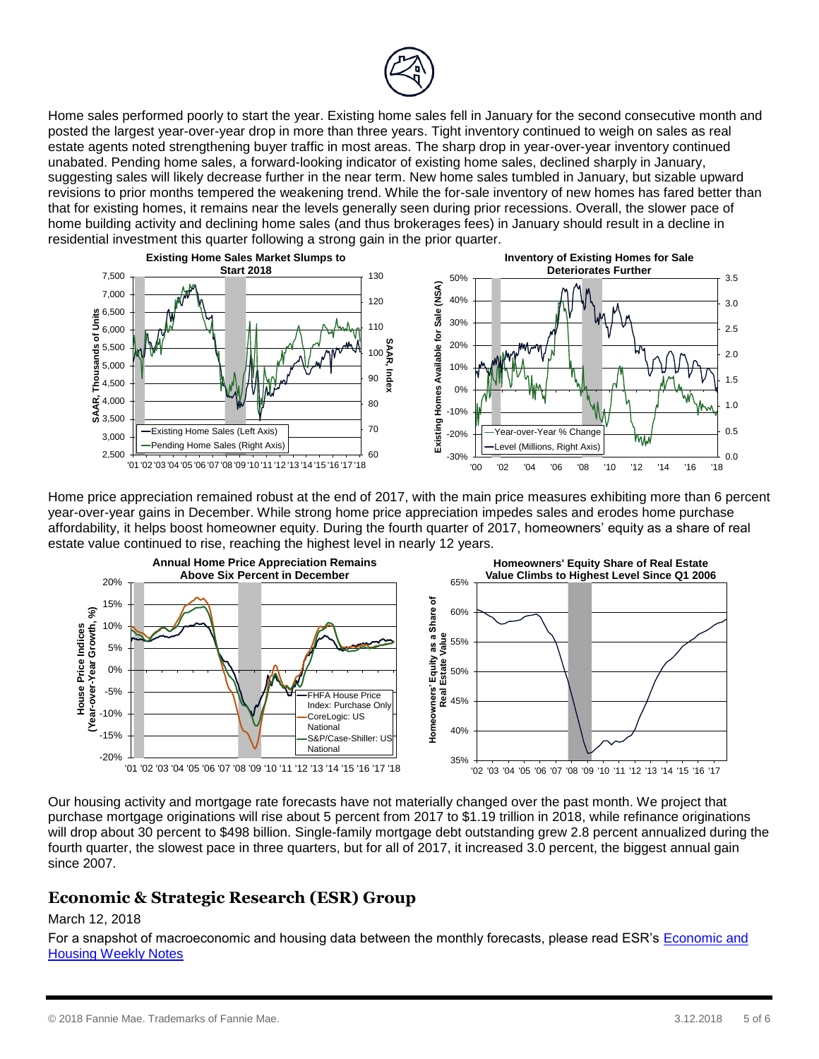

Home sales performed poorly to start the year. Existing home sales fell in January for the second consecutive month and posted the largest year-over-year drop in more than three years. Tight inventory continued to weigh on sales as real estate agents noted strengthening buyer traffic in most areas. The sharp drop in year-over-year inventory continued unabated. Pending home sales, a forward-looking indicator of existing home sales, declined sharply in January, suggesting sales will likely decrease further in the near term. New home sales tumbled in January, but sizable upward revisions to prior months tempered the weakening trend. While the for-sale inventory of new homes has fared better than that for existing homes, it remains near the levels generally seen during prior recessions. Overall, the slower pace of home building activity and declining home sales (and thus brokerages fees) in January should result in a decline in residential investment this quarter following a strong gain in the prior quarter.



Home price appreciation remained robust at the end of 2017, with the main price measures exhibiting more than 6 percent year-over-year gains in December. While strong home price appreciation impedes sales and erodes home purchase affordability, it helps boost homeowner equity. During the fourth quarter of 2017, homeowners' equity as a share of real estate value continued to rise, reaching the highest level in nearly 12 years.



Our housing activity and mortgage rate forecasts have not materially changed over the past month. We project that purchase mortgage originations will rise about 5 percent from 2017 to \$1.19 trillion in 2018, while refinance originations will drop about 30 percent to \$498 billion. Single-family mortgage debt outstanding grew 2.8 percent annualized during the fourth quarter, the slowest pace in three quarters, but for all of 2017, it increased 3.0 percent, the biggest annual gain since 2007.

#### **Economic & Strategic Research (ESR) Group**

#### March 12, 2018

For a snapshot of macroeconomic and housing data between the monthly forecasts, please read ESR's [Economic and](http://fanniemae.com/portal/research-insights/forecast/weekly-archive.html)  [Housing Weekly Notes](http://fanniemae.com/portal/research-insights/forecast/weekly-archive.html)